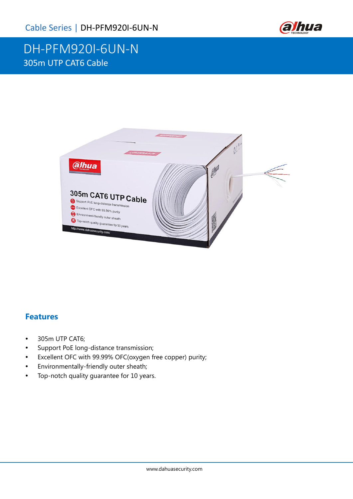

# DH-PFM920I-6UN-N 305m UTP CAT6 Cable



#### **Features**

- 305m UTP CAT6;
- Support PoE long-distance transmission;
- Excellent OFC with 99.99% OFC(oxygen free copper) purity;
- Environmentally-friendly outer sheath;
- Top-notch quality guarantee for 10 years.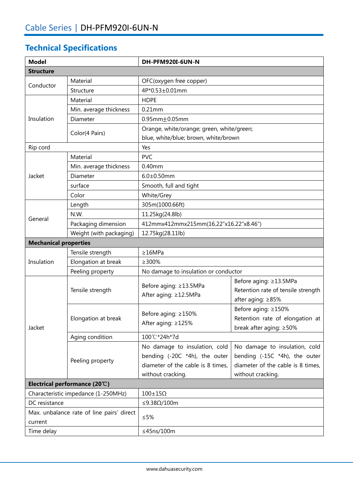## **Technical Specifications**

| <b>Model</b>                                         |                         | <b>DH-PFM920I-6UN-N</b>                         |                                    |  |
|------------------------------------------------------|-------------------------|-------------------------------------------------|------------------------------------|--|
| <b>Structure</b>                                     |                         |                                                 |                                    |  |
| Conductor                                            | Material                | OFC(oxygen free copper)                         |                                    |  |
|                                                      | Structure               | 4P*0.53±0.01mm                                  |                                    |  |
| Insulation                                           | Material                | <b>HDPE</b>                                     |                                    |  |
|                                                      | Min. average thickness  | $0.21$ mm                                       |                                    |  |
|                                                      | Diameter                | $0.95mm \pm 0.05mm$                             |                                    |  |
|                                                      | Color(4 Pairs)          | Orange, white/orange; green, white/green;       |                                    |  |
|                                                      |                         | blue, white/blue; brown, white/brown            |                                    |  |
| Rip cord                                             |                         | Yes                                             |                                    |  |
| Jacket                                               | Material                | <b>PVC</b>                                      |                                    |  |
|                                                      | Min. average thickness  | 0.40mm                                          |                                    |  |
|                                                      | Diameter                | $6.0 \pm 0.50$ mm                               |                                    |  |
|                                                      | surface                 | Smooth, full and tight                          |                                    |  |
|                                                      | Color                   | White/Grey                                      |                                    |  |
|                                                      | Length                  | 305m(1000.66ft)                                 |                                    |  |
| General                                              | N.W.                    | 11.25kg(24.8lb)                                 |                                    |  |
|                                                      | Packaging dimension     | 412mmx412mmx215mm(16.22"x16.22"x8.46")          |                                    |  |
|                                                      | Weight (with packaging) | 12.75kg(28.11lb)                                |                                    |  |
| <b>Mechanical properties</b>                         |                         |                                                 |                                    |  |
|                                                      | Tensile strength        | $\geq$ 16MPa                                    |                                    |  |
| Insulation                                           | Elongation at break     | $\geq 300\%$                                    |                                    |  |
|                                                      | Peeling property        | No damage to insulation or conductor            |                                    |  |
|                                                      | Tensile strength        | Before aging: ≥13.5MPa<br>After aging: ≥12.5MPa | Before aging: ≥13.5MPa             |  |
|                                                      |                         |                                                 | Retention rate of tensile strength |  |
|                                                      |                         |                                                 | after aging: ≥85%                  |  |
| Jacket                                               | Elongation at break     | Before aging: ≥150%<br>After aging: ≥125%       | Before aging: ≥150%                |  |
|                                                      |                         |                                                 | Retention rate of elongation at    |  |
|                                                      |                         |                                                 | break after aging: ≥50%            |  |
|                                                      | Aging condition         | 100°C*24h*7d                                    |                                    |  |
|                                                      | Peeling property        | No damage to insulation, cold                   | No damage to insulation, cold      |  |
|                                                      |                         | bending (-20C *4h), the outer                   | bending (-15C *4h), the outer      |  |
|                                                      |                         | diameter of the cable is 8 times,               | diameter of the cable is 8 times,  |  |
|                                                      |                         | without cracking.                               | without cracking.                  |  |
| Electrical performance (20°C)                        |                         |                                                 |                                    |  |
| Characteristic impedance (1-250MHz)                  |                         | $100\pm15\Omega$                                |                                    |  |
| DC resistance                                        |                         | ≤9.38Ω/100m                                     |                                    |  |
| Max. unbalance rate of line pairs' direct<br>current |                         | $≤5%$                                           |                                    |  |
| Time delay                                           |                         | ≤45ns/100m                                      |                                    |  |